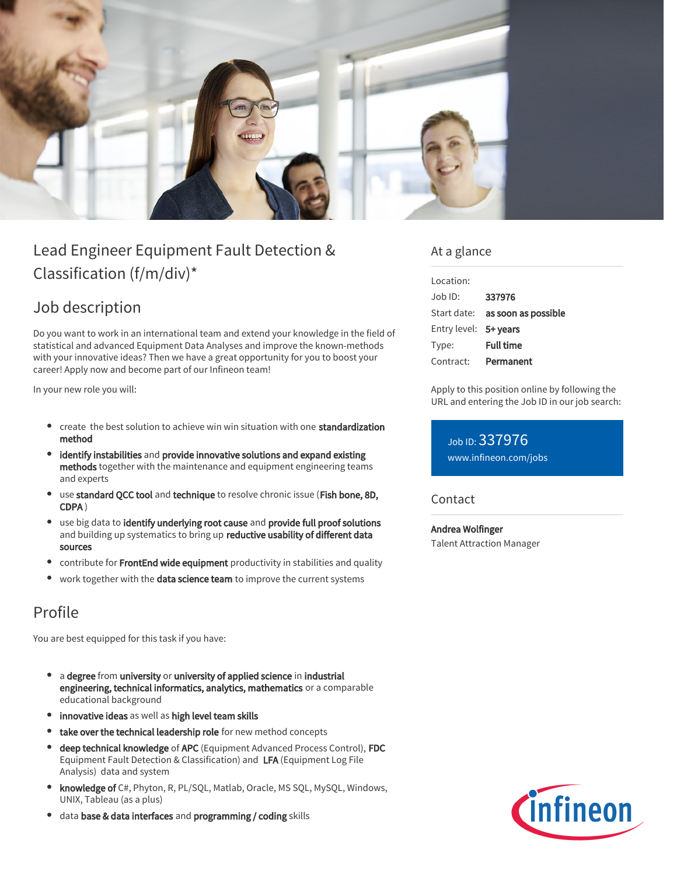

# Lead Engineer Equipment Fault Detection & Classification (f/m/div)\*

## Job description

Do you want to work in an international team and extend your knowledge in the field of statistical and advanced Equipment Data Analyses and improve the known-methods with your innovative ideas? Then we have a great opportunity for you to boost your career! Apply now and become part of our Infineon team!

In your new role you will:

- create the best solution to achieve win win situation with one standardization method
- identify instabilities and provide innovative solutions and expand existing methods together with the maintenance and equipment engineering teams and experts
- use standard QCC tool and technique to resolve chronic issue (Fish bone, 8D, CDPA )
- **•** use big data to identify underlying root cause and provide full proof solutions and building up systematics to bring up reductive usability of different data sources
- $\bullet$ contribute for FrontEnd wide equipment productivity in stabilities and quality
- work together with the data science team to improve the current systems

## Profile

You are best equipped for this task if you have:

- a degree from university or university of applied science in industrial engineering, technical informatics, analytics, mathematics or a comparable educational background
- **•** innovative ideas as well as high level team skills
- take over the technical leadership role for new method concepts  $\bullet$
- deep technical knowledge of APC (Equipment Advanced Process Control), FDC Equipment Fault Detection & Classification) and LFA (Equipment Log File Analysis) data and system
- **knowledge of** C#, Phyton, R, PL/SQL, Matlab, Oracle, MS SQL, MySQL, Windows, UNIX, Tableau (as a plus)
- data base & data interfaces and programming / coding skills

### At a glance

| Location:                     |                                        |
|-------------------------------|----------------------------------------|
| $\Delta$ lob $\overline{D}$ : | 337976                                 |
|                               | Start date: <b>as soon as possible</b> |
| Entry level: 5+ years         |                                        |
| Type:                         | <b>Full time</b>                       |
| Contract:                     | Permanent                              |

Apply to this position online by following the URL and entering the Job ID in our job search:

Job ID: 337976 [www.infineon.com/jobs](https://www.infineon.com/jobs)

### **Contact**

Andrea Wolfinger Talent Attraction Manager